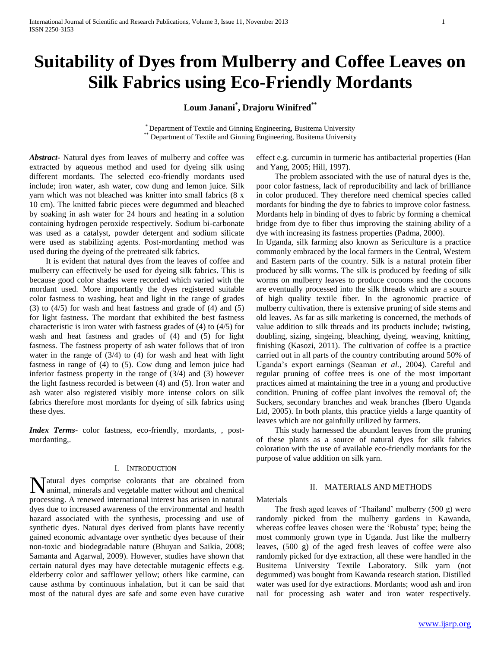# **Suitability of Dyes from Mulberry and Coffee Leaves on Silk Fabrics using Eco-Friendly Mordants**

**Loum Janani\* , Drajoru Winifred\*\***

\* Department of Textile and Ginning Engineering, Busitema University \*\* Department of Textile and Ginning Engineering, Busitema University

*Abstract***-** Natural dyes from leaves of mulberry and coffee was extracted by aqueous method and used for dyeing silk using different mordants. The selected eco-friendly mordants used include; iron water, ash water, cow dung and lemon juice. Silk yarn which was not bleached was knitter into small fabrics (8 x 10 cm). The knitted fabric pieces were degummed and bleached by soaking in ash water for 24 hours and heating in a solution containing hydrogen peroxide respectively. Sodium bi-carbonate was used as a catalyst, powder detergent and sodium silicate were used as stabilizing agents. Post-mordanting method was used during the dyeing of the pretreated silk fabrics.

 It is evident that natural dyes from the leaves of coffee and mulberry can effectively be used for dyeing silk fabrics. This is because good color shades were recorded which varied with the mordant used. More importantly the dyes registered suitable color fastness to washing, heat and light in the range of grades (3) to (4/5) for wash and heat fastness and grade of (4) and (5) for light fastness. The mordant that exhibited the best fastness characteristic is iron water with fastness grades of (4) to (4/5) for wash and heat fastness and grades of (4) and (5) for light fastness. The fastness property of ash water follows that of iron water in the range of (3/4) to (4) for wash and heat with light fastness in range of (4) to (5). Cow dung and lemon juice had inferior fastness property in the range of (3/4) and (3) however the light fastness recorded is between (4) and (5). Iron water and ash water also registered visibly more intense colors on silk fabrics therefore most mordants for dyeing of silk fabrics using these dyes.

*Index Terms*- color fastness, eco-friendly, mordants, , postmordanting,.

## I. INTRODUCTION

atural dyes comprise colorants that are obtained from Nanimal, minerals and vegetable matter without and chemical processing. A renewed international interest has arisen in natural dyes due to increased awareness of the environmental and health hazard associated with the synthesis, processing and use of synthetic dyes. Natural dyes derived from plants have recently gained economic advantage over synthetic dyes because of their non-toxic and biodegradable nature (Bhuyan and Saikia, 2008; Samanta and Agarwal, 2009). However, studies have shown that certain natural dyes may have detectable mutagenic effects e.g. elderberry color and safflower yellow; others like carmine, can cause asthma by continuous inhalation, but it can be said that most of the natural dyes are safe and some even have curative

effect e.g. curcumin in turmeric has antibacterial properties (Han and Yang, 2005; Hill, 1997).

 The problem associated with the use of natural dyes is the, poor color fastness, lack of reproducibility and lack of brilliance in color produced. They therefore need chemical species called mordants for binding the dye to fabrics to improve color fastness. Mordants help in binding of dyes to fabric by forming a chemical bridge from dye to fiber thus improving the staining ability of a dye with increasing its fastness properties (Padma, 2000).

In Uganda, silk farming also known as Sericulture is a practice commonly embraced by the local farmers in the Central, Western and Eastern parts of the country. Silk is a natural protein fiber produced by silk worms. The silk is produced by feeding of silk worms on mulberry leaves to produce cocoons and the cocoons are eventually processed into the silk threads which are a source of high quality textile fiber. In the agronomic practice of mulberry cultivation, there is extensive pruning of side stems and old leaves. As far as silk marketing is concerned, the methods of value addition to silk threads and its products include; twisting, doubling, sizing, singeing, bleaching, dyeing, weaving, knitting, finishing (Kasozi, 2011). The cultivation of coffee is a practice carried out in all parts of the country contributing around 50% of Uganda's export earnings (Seaman *et al.,* 2004). Careful and regular pruning of coffee trees is one of the most important practices aimed at maintaining the tree in a young and productive condition. Pruning of coffee plant involves the removal of; the Suckers, secondary branches and weak branches (Ibero Uganda Ltd, 2005). In both plants, this practice yields a large quantity of leaves which are not gainfully utilized by farmers.

 This study harnessed the abundant leaves from the pruning of these plants as a source of natural dyes for silk fabrics coloration with the use of available eco-friendly mordants for the purpose of value addition on silk yarn.

## II. MATERIALS AND METHODS

Materials

 The fresh aged leaves of 'Thailand' mulberry (500 g) were randomly picked from the mulberry gardens in Kawanda, whereas coffee leaves chosen were the 'Robusta' type; being the most commonly grown type in Uganda. Just like the mulberry leaves, (500 g) of the aged fresh leaves of coffee were also randomly picked for dye extraction, all these were handled in the Busitema University Textile Laboratory. Silk yarn (not degummed) was bought from Kawanda research station. Distilled water was used for dye extractions. Mordants; wood ash and iron nail for processing ash water and iron water respectively.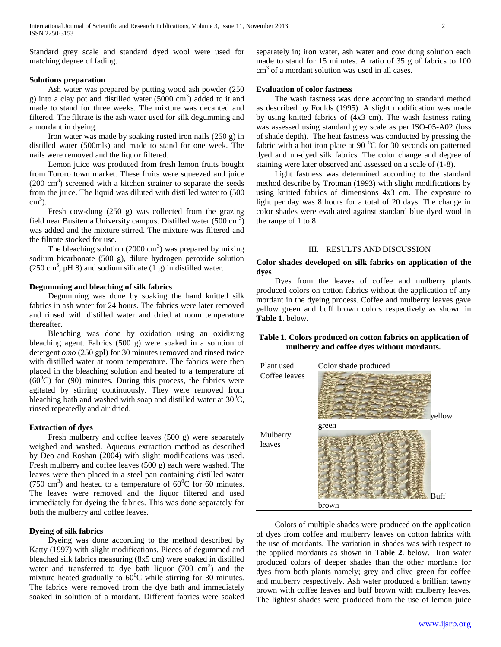Standard grey scale and standard dyed wool were used for matching degree of fading.

# **Solutions preparation**

 Ash water was prepared by putting wood ash powder (250 g) into a clay pot and distilled water  $(5000 \text{ cm}^3)$  added to it and made to stand for three weeks. The mixture was decanted and filtered. The filtrate is the ash water used for silk degumming and a mordant in dyeing.

 Iron water was made by soaking rusted iron nails (250 g) in distilled water (500mls) and made to stand for one week. The nails were removed and the liquor filtered.

 Lemon juice was produced from fresh lemon fruits bought from Tororo town market. These fruits were squeezed and juice  $(200 \text{ cm}^3)$  screened with a kitchen strainer to separate the seeds from the juice. The liquid was diluted with distilled water to (500  $\text{cm}^3$ ).

 Fresh cow-dung (250 g) was collected from the grazing field near Busitema University campus. Distilled water  $(500 \text{ cm}^3)$ was added and the mixture stirred. The mixture was filtered and the filtrate stocked for use.

The bleaching solution  $(2000 \text{ cm}^3)$  was prepared by mixing sodium bicarbonate (500 g), dilute hydrogen peroxide solution  $(250 \text{ cm}^3, \text{pH } 8)$  and sodium silicate  $(1 \text{ g})$  in distilled water.

## **Degumming and bleaching of silk fabrics**

 Degumming was done by soaking the hand knitted silk fabrics in ash water for 24 hours. The fabrics were later removed and rinsed with distilled water and dried at room temperature thereafter.

 Bleaching was done by oxidation using an oxidizing bleaching agent. Fabrics (500 g) were soaked in a solution of detergent *omo* (250 gpl) for 30 minutes removed and rinsed twice with distilled water at room temperature. The fabrics were then placed in the bleaching solution and heated to a temperature of  $(60^{\circ}$ C) for (90) minutes. During this process, the fabrics were agitated by stirring continuously. They were removed from bleaching bath and washed with soap and distilled water at  $30^{\circ}$ C, rinsed repeatedly and air dried.

## **Extraction of dyes**

 Fresh mulberry and coffee leaves (500 g) were separately weighed and washed. Aqueous extraction method as described by Deo and Roshan (2004) with slight modifications was used. Fresh mulberry and coffee leaves (500 g) each were washed. The leaves were then placed in a steel pan containing distilled water (750 cm<sup>3</sup>) and heated to a temperature of  $60^{\circ}$ C for 60 minutes. The leaves were removed and the liquor filtered and used immediately for dyeing the fabrics. This was done separately for both the mulberry and coffee leaves.

# **Dyeing of silk fabrics**

 Dyeing was done according to the method described by Katty (1997) with slight modifications. Pieces of degummed and bleached silk fabrics measuring (8x5 cm) were soaked in distilled water and transferred to dye bath liquor  $(700 \text{ cm}^3)$  and the mixture heated gradually to  $60^{\circ}$ C while stirring for 30 minutes. The fabrics were removed from the dye bath and immediately soaked in solution of a mordant. Different fabrics were soaked

separately in; iron water, ash water and cow dung solution each made to stand for 15 minutes. A ratio of 35 g of fabrics to 100 cm<sup>3</sup> of a mordant solution was used in all cases.

## **Evaluation of color fastness**

 The wash fastness was done according to standard method as described by Foulds (1995). A slight modification was made by using knitted fabrics of (4x3 cm). The wash fastness rating was assessed using standard grey scale as per ISO-05-A02 (loss of shade depth). The heat fastness was conducted by pressing the fabric with a hot iron plate at 90 $\mathrm{^{0}C}$  for 30 seconds on patterned dyed and un-dyed silk fabrics. The color change and degree of staining were later observed and assessed on a scale of (1-8).

 Light fastness was determined according to the standard method describe by Trotman (1993) with slight modifications by using knitted fabrics of dimensions 4x3 cm. The exposure to light per day was 8 hours for a total of 20 days. The change in color shades were evaluated against standard blue dyed wool in the range of 1 to 8.

#### III. RESULTS AND DISCUSSION

## **Color shades developed on silk fabrics on application of the dyes**

 Dyes from the leaves of coffee and mulberry plants produced colors on cotton fabrics without the application of any mordant in the dyeing process. Coffee and mulberry leaves gave yellow green and buff brown colors respectively as shown in **Table 1**. below.

# **Table 1. Colors produced on cotton fabrics on application of mulberry and coffee dyes without mordants.**



 Colors of multiple shades were produced on the application of dyes from coffee and mulberry leaves on cotton fabrics with the use of mordants. The variation in shades was with respect to the applied mordants as shown in **Table 2**. below. Iron water produced colors of deeper shades than the other mordants for dyes from both plants namely; grey and olive green for coffee and mulberry respectively. Ash water produced a brilliant tawny brown with coffee leaves and buff brown with mulberry leaves. The lightest shades were produced from the use of lemon juice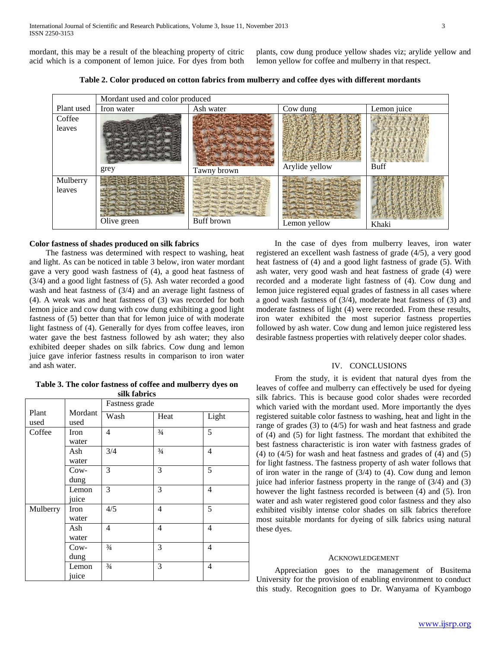mordant, this may be a result of the bleaching property of citric acid which is a component of lemon juice. For dyes from both

plants, cow dung produce yellow shades viz; arylide yellow and lemon yellow for coffee and mulberry in that respect.

**Table 2. Color produced on cotton fabrics from mulberry and coffee dyes with different mordants**

|            | Mordant used and color produced |             |                |             |  |  |
|------------|---------------------------------|-------------|----------------|-------------|--|--|
| Plant used | Iron water                      | Ash water   | Cow dung       | Lemon juice |  |  |
| Coffee     |                                 |             |                |             |  |  |
| leaves     | grey                            | Tawny brown | Arylide yellow | <b>Buff</b> |  |  |
| Mulberry   |                                 |             |                |             |  |  |
| leaves     | Olive green                     | Buff brown  | Lemon yellow   | Khaki       |  |  |

## **Color fastness of shades produced on silk fabrics**

 The fastness was determined with respect to washing, heat and light. As can be noticed in table 3 below, iron water mordant gave a very good wash fastness of (4), a good heat fastness of (3/4) and a good light fastness of (5). Ash water recorded a good wash and heat fastness of (3/4) and an average light fastness of (4). A weak was and heat fastness of (3) was recorded for both lemon juice and cow dung with cow dung exhibiting a good light fastness of (5) better than that for lemon juice of with moderate light fastness of (4). Generally for dyes from coffee leaves, iron water gave the best fastness followed by ash water; they also exhibited deeper shades on silk fabrics. Cow dung and lemon juice gave inferior fastness results in comparison to iron water and ash water.

**Table 3. The color fastness of coffee and mulberry dyes on silk fabrics**

|          |         | Fastness grade |               |       |
|----------|---------|----------------|---------------|-------|
| Plant    | Mordant | Wash           | Heat          | Light |
| used     | used    |                |               |       |
| Coffee   | Iron    | $\overline{4}$ | $\frac{3}{4}$ | 5     |
|          | water   |                |               |       |
|          | Ash     | 3/4            | $\frac{3}{4}$ | 4     |
|          | water   |                |               |       |
|          | Cow-    | 3              | 3             | 5     |
|          | dung    |                |               |       |
|          | Lemon   | 3              | 3             | 4     |
|          | juice   |                |               |       |
| Mulberry | Iron    | 4/5            | 4             | 5     |
|          | water   |                |               |       |
|          | Ash     | 4              | 4             | 4     |
|          | water   |                |               |       |
|          | Cow-    | $\frac{3}{4}$  | 3             | 4     |
|          | dung    |                |               |       |
|          | Lemon   | $\frac{3}{4}$  | 3             | 4     |
|          | juice   |                |               |       |

 In the case of dyes from mulberry leaves, iron water registered an excellent wash fastness of grade (4/5), a very good heat fastness of (4) and a good light fastness of grade (5). With ash water, very good wash and heat fastness of grade (4) were recorded and a moderate light fastness of (4). Cow dung and lemon juice registered equal grades of fastness in all cases where a good wash fastness of (3/4), moderate heat fastness of (3) and moderate fastness of light (4) were recorded. From these results, iron water exhibited the most superior fastness properties followed by ash water. Cow dung and lemon juice registered less desirable fastness properties with relatively deeper color shades.

## IV. CONCLUSIONS

 From the study, it is evident that natural dyes from the leaves of coffee and mulberry can effectively be used for dyeing silk fabrics. This is because good color shades were recorded which varied with the mordant used. More importantly the dyes registered suitable color fastness to washing, heat and light in the range of grades (3) to (4/5) for wash and heat fastness and grade of (4) and (5) for light fastness. The mordant that exhibited the best fastness characteristic is iron water with fastness grades of (4) to (4/5) for wash and heat fastness and grades of (4) and (5) for light fastness. The fastness property of ash water follows that of iron water in the range of (3/4) to (4). Cow dung and lemon juice had inferior fastness property in the range of  $(3/4)$  and  $(3)$ however the light fastness recorded is between (4) and (5). Iron water and ash water registered good color fastness and they also exhibited visibly intense color shades on silk fabrics therefore most suitable mordants for dyeing of silk fabrics using natural these dyes.

#### ACKNOWLEDGEMENT

 Appreciation goes to the management of Busitema University for the provision of enabling environment to conduct this study. Recognition goes to Dr. Wanyama of Kyambogo